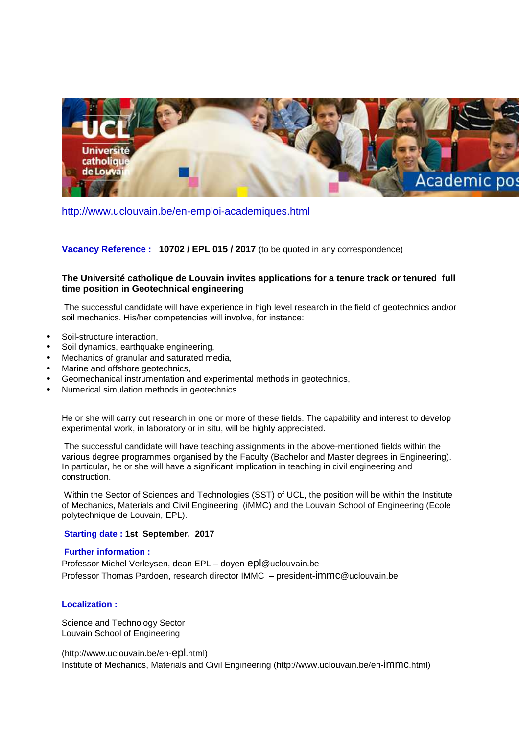

http://www.uclouvain.be/en-emploi-academiques.html

**Vacancy Reference : 10702 / EPL 015 / 2017** (to be quoted in any correspondence)

# **The Université catholique de Louvain invites applications for a tenure track or tenured full time position in Geotechnical engineering**

 The successful candidate will have experience in high level research in the field of geotechnics and/or soil mechanics. His/her competencies will involve, for instance:

- Soil-structure interaction,
- Soil dynamics, earthquake engineering,
- Mechanics of granular and saturated media,
- Marine and offshore geotechnics,
- Geomechanical instrumentation and experimental methods in geotechnics,
- Numerical simulation methods in geotechnics.

He or she will carry out research in one or more of these fields. The capability and interest to develop experimental work, in laboratory or in situ, will be highly appreciated.

 The successful candidate will have teaching assignments in the above-mentioned fields within the various degree programmes organised by the Faculty (Bachelor and Master degrees in Engineering). In particular, he or she will have a significant implication in teaching in civil engineering and construction.

 Within the Sector of Sciences and Technologies (SST) of UCL, the position will be within the Institute of Mechanics, Materials and Civil Engineering (iMMC) and the Louvain School of Engineering (Ecole polytechnique de Louvain, EPL).

## **Starting date : 1st September, 2017**

#### **Further information :**

Professor Michel Verleysen, dean EPL – doyen-epl@uclouvain.be Professor Thomas Pardoen, research director IMMC – president-immc@uclouvain.be

## **Localization :**

Science and Technology Sector Louvain School of Engineering

(http://www.uclouvain.be/en-epl.html) Institute of Mechanics, Materials and Civil Engineering (http://www.uclouvain.be/en-immc.html)